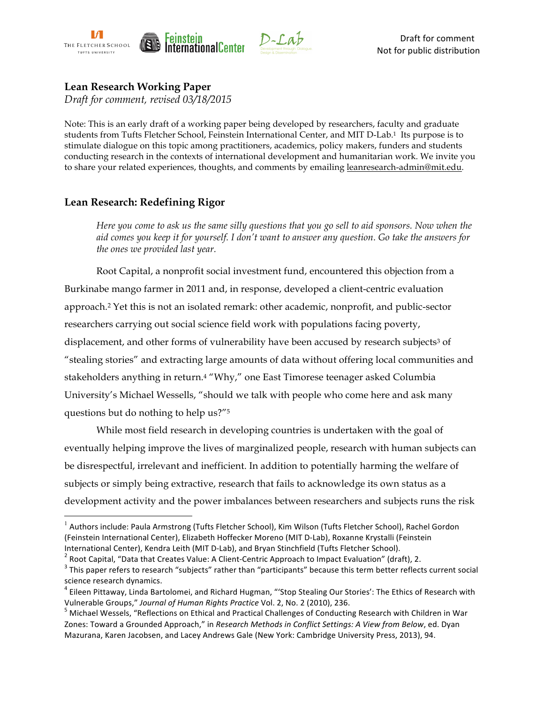

# **Lean Research Working Paper**

*Draft for comment, revised 03/18/2015*

Note: This is an early draft of a working paper being developed by researchers, faculty and graduate students from Tufts Fletcher School, Feinstein International Center, and MIT D-Lab.1 Its purpose is to stimulate dialogue on this topic among practitioners, academics, policy makers, funders and students conducting research in the contexts of international development and humanitarian work. We invite you to share your related experiences, thoughts, and comments by emailing leanresearch-admin@mit.edu.

## **Lean Research: Redefining Rigor**

*Here you come to ask us the same silly questions that you go sell to aid sponsors. Now when the aid comes you keep it for yourself. I don't want to answer any question. Go take the answers for the ones we provided last year.*

Root Capital, a nonprofit social investment fund, encountered this objection from a Burkinabe mango farmer in 2011 and, in response, developed a client-centric evaluation approach.2 Yet this is not an isolated remark: other academic, nonprofit, and public-sector researchers carrying out social science field work with populations facing poverty, displacement, and other forms of vulnerability have been accused by research subjects<sup>3</sup> of "stealing stories" and extracting large amounts of data without offering local communities and stakeholders anything in return.4 "Why," one East Timorese teenager asked Columbia University's Michael Wessells, "should we talk with people who come here and ask many questions but do nothing to help us?"5

While most field research in developing countries is undertaken with the goal of eventually helping improve the lives of marginalized people, research with human subjects can be disrespectful, irrelevant and inefficient. In addition to potentially harming the welfare of subjects or simply being extractive, research that fails to acknowledge its own status as a development activity and the power imbalances between researchers and subjects runs the risk

 $^1$  Authors include: Paula Armstrong (Tufts Fletcher School), Kim Wilson (Tufts Fletcher School), Rachel Gordon (Feinstein International Center), Elizabeth Hoffecker Moreno (MIT D-Lab), Roxanne Krystalli (Feinstein International Center), Kendra Leith (MIT D-Lab), and Bryan Stinchfield (Tufts Fletcher School).<br><sup>2</sup> Root Capital, "Data that Creates Value: A Client-Centric Approach to Impact Evaluation" (draft), 2.<br><sup>3</sup> This paper refers

science research dynamics.

 $4$  Eileen Pittaway, Linda Bartolomei, and Richard Hugman, "'Stop Stealing Our Stories': The Ethics of Research with Vulnerable Groups," *Journal of Human Rights Practice* Vol. 2, No. 2 (2010), 236.<br><sup>5</sup> Michael Wessels, "Reflections on Ethical and Practical Challenges of Conducting Research with Children in War

Zones: Toward a Grounded Approach," in *Research Methods in Conflict Settings: A View from Below*, ed. Dyan Mazurana, Karen Jacobsen, and Lacey Andrews Gale (New York: Cambridge University Press, 2013), 94.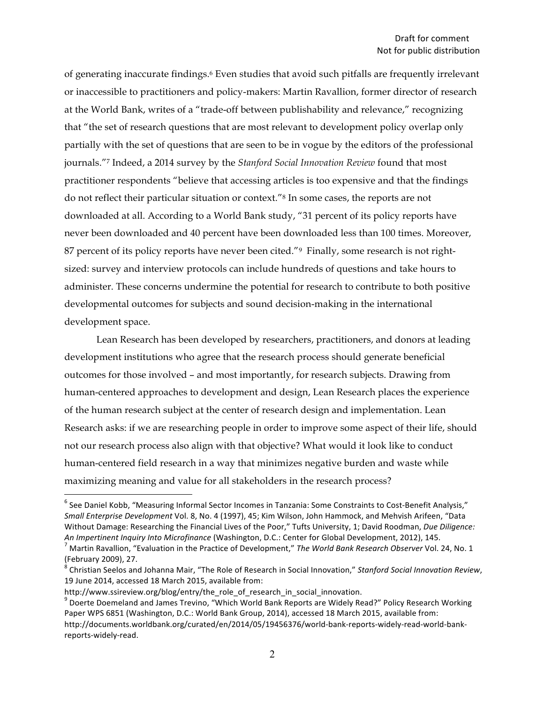of generating inaccurate findings.6 Even studies that avoid such pitfalls are frequently irrelevant or inaccessible to practitioners and policy-makers: Martin Ravallion, former director of research at the World Bank, writes of a "trade-off between publishability and relevance," recognizing that "the set of research questions that are most relevant to development policy overlap only partially with the set of questions that are seen to be in vogue by the editors of the professional journals."7 Indeed, a 2014 survey by the *Stanford Social Innovation Review* found that most practitioner respondents "believe that accessing articles is too expensive and that the findings do not reflect their particular situation or context."8 In some cases, the reports are not downloaded at all. According to a World Bank study, "31 percent of its policy reports have never been downloaded and 40 percent have been downloaded less than 100 times. Moreover, 87 percent of its policy reports have never been cited."<sup>9</sup> Finally, some research is not rightsized: survey and interview protocols can include hundreds of questions and take hours to administer. These concerns undermine the potential for research to contribute to both positive developmental outcomes for subjects and sound decision-making in the international development space.

Lean Research has been developed by researchers, practitioners, and donors at leading development institutions who agree that the research process should generate beneficial outcomes for those involved – and most importantly, for research subjects. Drawing from human-centered approaches to development and design, Lean Research places the experience of the human research subject at the center of research design and implementation. Lean Research asks: if we are researching people in order to improve some aspect of their life, should not our research process also align with that objective? What would it look like to conduct human-centered field research in a way that minimizes negative burden and waste while maximizing meaning and value for all stakeholders in the research process?

 $6$  See Daniel Kobb, "Measuring Informal Sector Incomes in Tanzania: Some Constraints to Cost-Benefit Analysis," *Small Enterprise Development* Vol. 8, No. 4 (1997), 45; Kim Wilson, John Hammock, and Mehvish Arifeen, "Data Without Damage: Researching the Financial Lives of the Poor," Tufts University, 1; David Roodman, *Due Diligence:* An Impertinent Inquiry Into Microfinance (Washington, D.C.: Center for Global Development, 2012), 145.<br><sup>7</sup> Martin Ravallion, "Evaluation in the Practice of Development," The World Bank Research Observer Vol. 24, No. 1

<sup>(</sup>February 2009), 27.

<sup>&</sup>lt;sup>8</sup> Christian Seelos and Johanna Mair, "The Role of Research in Social Innovation," Stanford Social Innovation Review, 19 June 2014, accessed 18 March 2015, available from:

http://www.ssireview.org/blog/entry/the\_role\_of\_research\_in\_social\_innovation.

 $9$  Doerte Doemeland and James Trevino, "Which World Bank Reports are Widely Read?" Policy Research Working Paper WPS 6851 (Washington, D.C.: World Bank Group, 2014), accessed 18 March 2015, available from: http://documents.worldbank.org/curated/en/2014/05/19456376/world-bank-reports-widely-read-world-bankreports-widely-read.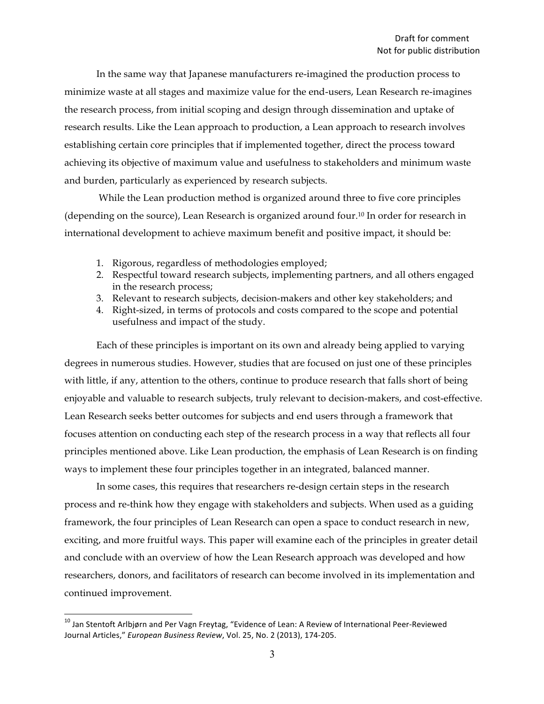In the same way that Japanese manufacturers re-imagined the production process to minimize waste at all stages and maximize value for the end-users, Lean Research re-imagines the research process, from initial scoping and design through dissemination and uptake of research results. Like the Lean approach to production, a Lean approach to research involves establishing certain core principles that if implemented together, direct the process toward achieving its objective of maximum value and usefulness to stakeholders and minimum waste and burden, particularly as experienced by research subjects.

While the Lean production method is organized around three to five core principles (depending on the source), Lean Research is organized around four.10 In order for research in international development to achieve maximum benefit and positive impact, it should be:

- 1. Rigorous, regardless of methodologies employed;
- 2. Respectful toward research subjects, implementing partners, and all others engaged in the research process;
- 3. Relevant to research subjects, decision-makers and other key stakeholders; and
- 4. Right-sized, in terms of protocols and costs compared to the scope and potential usefulness and impact of the study.

Each of these principles is important on its own and already being applied to varying degrees in numerous studies. However, studies that are focused on just one of these principles with little, if any, attention to the others, continue to produce research that falls short of being enjoyable and valuable to research subjects, truly relevant to decision-makers, and cost-effective. Lean Research seeks better outcomes for subjects and end users through a framework that focuses attention on conducting each step of the research process in a way that reflects all four principles mentioned above. Like Lean production, the emphasis of Lean Research is on finding ways to implement these four principles together in an integrated, balanced manner.

In some cases, this requires that researchers re-design certain steps in the research process and re-think how they engage with stakeholders and subjects. When used as a guiding framework, the four principles of Lean Research can open a space to conduct research in new, exciting, and more fruitful ways. This paper will examine each of the principles in greater detail and conclude with an overview of how the Lean Research approach was developed and how researchers, donors, and facilitators of research can become involved in its implementation and continued improvement.

<sup>&</sup>lt;sup>10</sup> Jan Stentoft Arlbjørn and Per Vagn Freytag, "Evidence of Lean: A Review of International Peer-Reviewed Journal Articles," European Business Review, Vol. 25, No. 2 (2013), 174-205.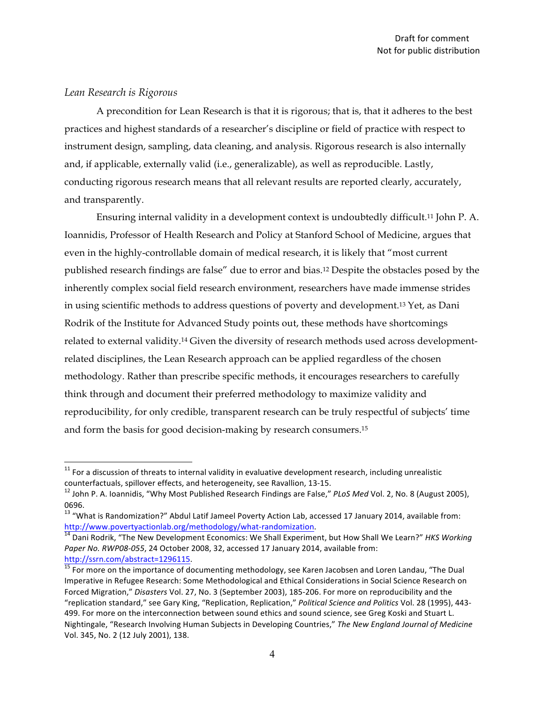### *Lean Research is Rigorous*

A precondition for Lean Research is that it is rigorous; that is, that it adheres to the best practices and highest standards of a researcher's discipline or field of practice with respect to instrument design, sampling, data cleaning, and analysis. Rigorous research is also internally and, if applicable, externally valid (i.e., generalizable), as well as reproducible. Lastly, conducting rigorous research means that all relevant results are reported clearly, accurately, and transparently.

Ensuring internal validity in a development context is undoubtedly difficult.11 John P. A. Ioannidis, Professor of Health Research and Policy at Stanford School of Medicine, argues that even in the highly-controllable domain of medical research, it is likely that "most current published research findings are false" due to error and bias.12 Despite the obstacles posed by the inherently complex social field research environment, researchers have made immense strides in using scientific methods to address questions of poverty and development.13 Yet, as Dani Rodrik of the Institute for Advanced Study points out, these methods have shortcomings related to external validity.14 Given the diversity of research methods used across developmentrelated disciplines, the Lean Research approach can be applied regardless of the chosen methodology. Rather than prescribe specific methods, it encourages researchers to carefully think through and document their preferred methodology to maximize validity and reproducibility, for only credible, transparent research can be truly respectful of subjects' time and form the basis for good decision-making by research consumers.15

 $11$  For a discussion of threats to internal validity in evaluative development research, including unrealistic counterfactuals, spillover effects, and heterogeneity, see Ravallion, 13-15.<br><sup>12</sup> John P. A. Ioannidis, "Why Most Published Research Findings are False," *PLoS Med* Vol. 2, No. 8 (August 2005),

<sup>0696.</sup> 

 $^{13}$  "What is Randomization?" Abdul Latif Jameel Poverty Action Lab, accessed 17 January 2014, available from: http://www.povertyactionlab.org/methodology/what-randomization.<br><sup>14</sup> Dani Rodrik, "The New Development Economics: We Shall Experiment, but How Shall We Learn?" *HKS Working* 

Paper No. RWP08-055, 24 October 2008, 32, accessed 17 January 2014, available from:

http://ssrn.com/abstract=1296115.<br> $\frac{15}{15}$  For more on the importance of documenting methodology, see Karen Jacobsen and Loren Landau, "The Dual Imperative in Refugee Research: Some Methodological and Ethical Considerations in Social Science Research on Forced Migration," Disasters Vol. 27, No. 3 (September 2003), 185-206. For more on reproducibility and the "replication standard," see Gary King, "Replication, Replication," Political Science and Politics Vol. 28 (1995), 443-499. For more on the interconnection between sound ethics and sound science, see Greg Koski and Stuart L. Nightingale, "Research Involving Human Subjects in Developing Countries," The New England Journal of Medicine Vol. 345, No. 2 (12 July 2001), 138.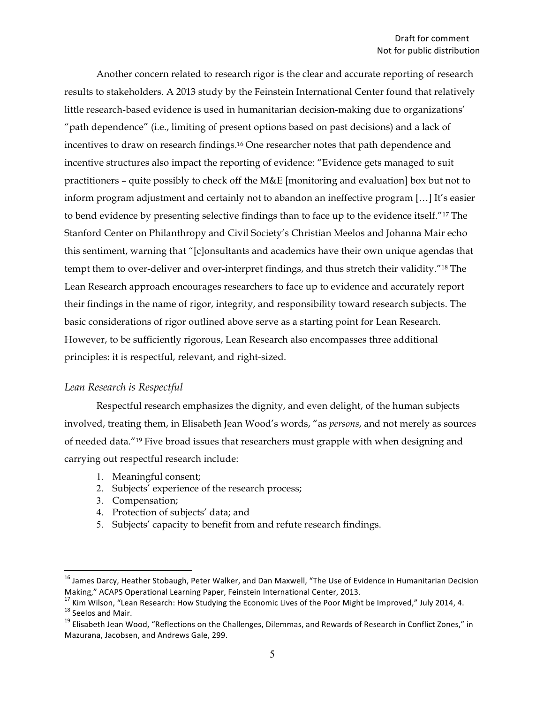Another concern related to research rigor is the clear and accurate reporting of research results to stakeholders. A 2013 study by the Feinstein International Center found that relatively little research-based evidence is used in humanitarian decision-making due to organizations' "path dependence" (i.e., limiting of present options based on past decisions) and a lack of incentives to draw on research findings.16 One researcher notes that path dependence and incentive structures also impact the reporting of evidence: "Evidence gets managed to suit practitioners – quite possibly to check off the M&E [monitoring and evaluation] box but not to inform program adjustment and certainly not to abandon an ineffective program […] It's easier to bend evidence by presenting selective findings than to face up to the evidence itself."17 The Stanford Center on Philanthropy and Civil Society's Christian Meelos and Johanna Mair echo this sentiment, warning that "[c]onsultants and academics have their own unique agendas that tempt them to over-deliver and over-interpret findings, and thus stretch their validity."18 The Lean Research approach encourages researchers to face up to evidence and accurately report their findings in the name of rigor, integrity, and responsibility toward research subjects. The basic considerations of rigor outlined above serve as a starting point for Lean Research. However, to be sufficiently rigorous, Lean Research also encompasses three additional principles: it is respectful, relevant, and right-sized.

#### *Lean Research is Respectful*

Respectful research emphasizes the dignity, and even delight, of the human subjects involved, treating them, in Elisabeth Jean Wood's words, "as *persons*, and not merely as sources of needed data."19 Five broad issues that researchers must grapple with when designing and carrying out respectful research include:

- 1. Meaningful consent;
- 2. Subjects' experience of the research process;
- 3. Compensation;
- 4. Protection of subjects' data; and
- 5. Subjects' capacity to benefit from and refute research findings.

<sup>&</sup>lt;sup>16</sup> James Darcy, Heather Stobaugh, Peter Walker, and Dan Maxwell, "The Use of Evidence in Humanitarian Decision

Making," ACAPS Operational Learning Paper, Feinstein International Center, 2013.<br><sup>17</sup> Kim Wilson, "Lean Research: How Studying the Economic Lives of the Poor Might be Improved," July 2014, 4.<br><sup>18</sup> Seelos and Mair.<br><sup>19</sup> Eli

Mazurana, Jacobsen, and Andrews Gale, 299.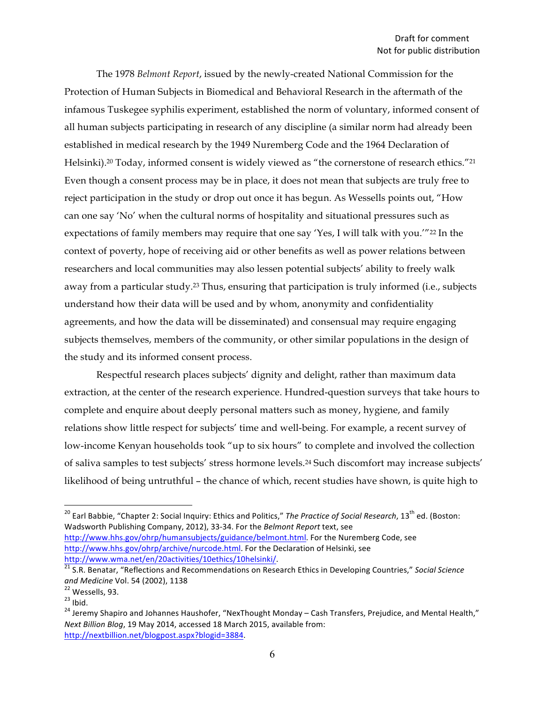The 1978 *Belmont Report*, issued by the newly-created National Commission for the Protection of Human Subjects in Biomedical and Behavioral Research in the aftermath of the infamous Tuskegee syphilis experiment, established the norm of voluntary, informed consent of all human subjects participating in research of any discipline (a similar norm had already been established in medical research by the 1949 Nuremberg Code and the 1964 Declaration of Helsinki).<sup>20</sup> Today, informed consent is widely viewed as "the cornerstone of research ethics."<sup>21</sup> Even though a consent process may be in place, it does not mean that subjects are truly free to reject participation in the study or drop out once it has begun. As Wessells points out, "How can one say 'No' when the cultural norms of hospitality and situational pressures such as expectations of family members may require that one say 'Yes, I will talk with you.'"<sup>22</sup> In the context of poverty, hope of receiving aid or other benefits as well as power relations between researchers and local communities may also lessen potential subjects' ability to freely walk away from a particular study.23 Thus, ensuring that participation is truly informed (i.e., subjects understand how their data will be used and by whom, anonymity and confidentiality agreements, and how the data will be disseminated) and consensual may require engaging subjects themselves, members of the community, or other similar populations in the design of the study and its informed consent process.

Respectful research places subjects' dignity and delight, rather than maximum data extraction, at the center of the research experience. Hundred-question surveys that take hours to complete and enquire about deeply personal matters such as money, hygiene, and family relations show little respect for subjects' time and well-being. For example, a recent survey of low-income Kenyan households took "up to six hours" to complete and involved the collection of saliva samples to test subjects' stress hormone levels.24 Such discomfort may increase subjects' likelihood of being untruthful – the chance of which, recent studies have shown, is quite high to

<sup>&</sup>lt;sup>20</sup> Earl Babbie, "Chapter 2: Social Inquiry: Ethics and Politics," The Practice of Social Research, 13<sup>th</sup> ed. (Boston: Wadsworth Publishing Company, 2012), 33-34. For the *Belmont Report* text, see http://www.hhs.gov/ohrp/humansubjects/guidance/belmont.html. For the Nuremberg Code, see http://www.hhs.gov/ohrp/archive/nurcode.html. For the Declaration of Helsinki, see

http://www.wma.net/en/20activities/10ethics/10helsinki/.<br><sup>21</sup> S.R. Benatar, "Reflections and Recommendations on Research Ethics in Developing Countries," *Social Science* 

*and Medicine* Vol. 54 (2002), 1138<br><sup>22</sup> Wessells, 93.<br><sup>23</sup> Ibid. 24 Jeremy Shapiro and Johannes Haushofer, "NexThought Monday – Cash Transfers, Prejudice, and Mental Health," *Next Billion Blog,* 19 May 2014, accessed 18 March 2015, available from: http://nextbillion.net/blogpost.aspx?blogid=3884.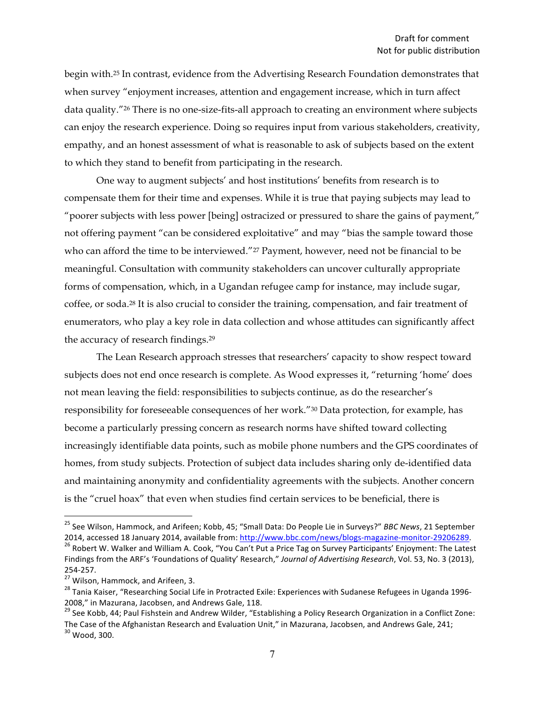begin with.25 In contrast, evidence from the Advertising Research Foundation demonstrates that when survey "enjoyment increases, attention and engagement increase, which in turn affect data quality."26 There is no one-size-fits-all approach to creating an environment where subjects can enjoy the research experience. Doing so requires input from various stakeholders, creativity, empathy, and an honest assessment of what is reasonable to ask of subjects based on the extent to which they stand to benefit from participating in the research.

One way to augment subjects' and host institutions' benefits from research is to compensate them for their time and expenses. While it is true that paying subjects may lead to "poorer subjects with less power [being] ostracized or pressured to share the gains of payment," not offering payment "can be considered exploitative" and may "bias the sample toward those who can afford the time to be interviewed."<sup>27</sup> Payment, however, need not be financial to be meaningful. Consultation with community stakeholders can uncover culturally appropriate forms of compensation, which, in a Ugandan refugee camp for instance, may include sugar, coffee, or soda.28 It is also crucial to consider the training, compensation, and fair treatment of enumerators, who play a key role in data collection and whose attitudes can significantly affect the accuracy of research findings.29

The Lean Research approach stresses that researchers' capacity to show respect toward subjects does not end once research is complete. As Wood expresses it, "returning 'home' does not mean leaving the field: responsibilities to subjects continue, as do the researcher's responsibility for foreseeable consequences of her work."30 Data protection, for example, has become a particularly pressing concern as research norms have shifted toward collecting increasingly identifiable data points, such as mobile phone numbers and the GPS coordinates of homes, from study subjects. Protection of subject data includes sharing only de-identified data and maintaining anonymity and confidentiality agreements with the subjects. Another concern is the "cruel hoax" that even when studies find certain services to be beneficial, there is

<sup>&</sup>lt;sup>25</sup> See Wilson, Hammock, and Arifeen; Kobb, 45; "Small Data: Do People Lie in Surveys?" *BBC News*, 21 September 2014, accessed 18 January 2014, available from: http://www.bbc.com/news/blogs-magazine-monitor-29206289.<br><sup>26</sup> Robert W. Walker and William A. Cook, "You Can't Put a Price Tag on Survey Participants' Enjoyment: The Latest

Findings from the ARF's 'Foundations of Quality' Research," Journal of Advertising Research, Vol. 53, No. 3 (2013), 254-257.<br><sup>27</sup> Wilson, Hammock, and Arifeen, 3.<br><sup>28</sup> Tania Kaiser, "Researching Social Life in Protracted Exile: Experiences with Sudanese Refugees in Uganda 1996-

<sup>2008,&</sup>quot; in Mazurana, Jacobsen, and Andrews Gale, 118.

<sup>&</sup>lt;sup>29</sup> See Kobb, 44; Paul Fishstein and Andrew Wilder, "Establishing a Policy Research Organization in a Conflict Zone: The Case of the Afghanistan Research and Evaluation Unit," in Mazurana, Jacobsen, and Andrews Gale, 241;  $^{30}$  Wood, 300.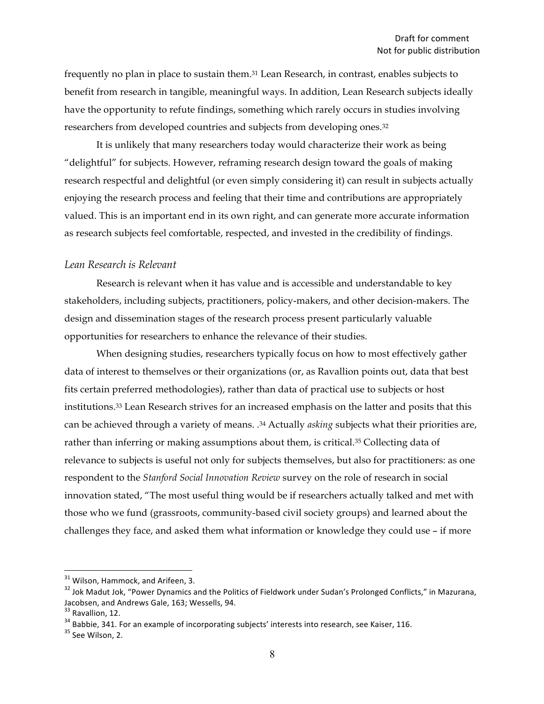frequently no plan in place to sustain them.31 Lean Research, in contrast, enables subjects to benefit from research in tangible, meaningful ways. In addition, Lean Research subjects ideally have the opportunity to refute findings, something which rarely occurs in studies involving researchers from developed countries and subjects from developing ones.32

It is unlikely that many researchers today would characterize their work as being "delightful" for subjects. However, reframing research design toward the goals of making research respectful and delightful (or even simply considering it) can result in subjects actually enjoying the research process and feeling that their time and contributions are appropriately valued. This is an important end in its own right, and can generate more accurate information as research subjects feel comfortable, respected, and invested in the credibility of findings.

#### *Lean Research is Relevant*

Research is relevant when it has value and is accessible and understandable to key stakeholders, including subjects, practitioners, policy-makers, and other decision-makers. The design and dissemination stages of the research process present particularly valuable opportunities for researchers to enhance the relevance of their studies.

When designing studies, researchers typically focus on how to most effectively gather data of interest to themselves or their organizations (or, as Ravallion points out, data that best fits certain preferred methodologies), rather than data of practical use to subjects or host institutions.33 Lean Research strives for an increased emphasis on the latter and posits that this can be achieved through a variety of means. .<sup>34</sup> Actually *asking* subjects what their priorities are, rather than inferring or making assumptions about them, is critical.35 Collecting data of relevance to subjects is useful not only for subjects themselves, but also for practitioners: as one respondent to the *Stanford Social Innovation Review* survey on the role of research in social innovation stated, "The most useful thing would be if researchers actually talked and met with those who we fund (grassroots, community-based civil society groups) and learned about the challenges they face, and asked them what information or knowledge they could use – if more

<sup>&</sup>lt;sup>31</sup> Wilson, Hammock, and Arifeen, 3.<br><sup>32</sup> Jok Madut Jok, "Power Dynamics and the Politics of Fieldwork under Sudan's Prolonged Conflicts," in Mazurana, Jacobsen, and Andrews Gale, 163; Wessells, 94.<br><sup>33</sup> Ravallion. 12.

 $34$  Babbie, 341. For an example of incorporating subjects' interests into research, see Kaiser, 116.  $35$  See Wilson, 2.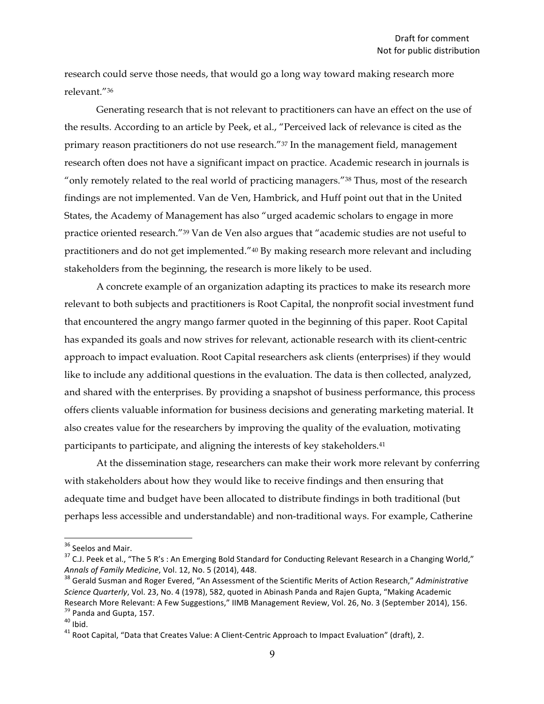research could serve those needs, that would go a long way toward making research more relevant."36

Generating research that is not relevant to practitioners can have an effect on the use of the results. According to an article by Peek, et al., "Perceived lack of relevance is cited as the primary reason practitioners do not use research."37 In the management field, management research often does not have a significant impact on practice. Academic research in journals is "only remotely related to the real world of practicing managers."<sup>38</sup> Thus, most of the research findings are not implemented. Van de Ven, Hambrick, and Huff point out that in the United States, the Academy of Management has also "urged academic scholars to engage in more practice oriented research."39 Van de Ven also argues that "academic studies are not useful to practitioners and do not get implemented."40 By making research more relevant and including stakeholders from the beginning, the research is more likely to be used.

A concrete example of an organization adapting its practices to make its research more relevant to both subjects and practitioners is Root Capital, the nonprofit social investment fund that encountered the angry mango farmer quoted in the beginning of this paper. Root Capital has expanded its goals and now strives for relevant, actionable research with its client-centric approach to impact evaluation. Root Capital researchers ask clients (enterprises) if they would like to include any additional questions in the evaluation. The data is then collected, analyzed, and shared with the enterprises. By providing a snapshot of business performance, this process offers clients valuable information for business decisions and generating marketing material. It also creates value for the researchers by improving the quality of the evaluation, motivating participants to participate, and aligning the interests of key stakeholders.<sup>41</sup>

At the dissemination stage, researchers can make their work more relevant by conferring with stakeholders about how they would like to receive findings and then ensuring that adequate time and budget have been allocated to distribute findings in both traditional (but perhaps less accessible and understandable) and non-traditional ways. For example, Catherine

<sup>&</sup>lt;sup>36</sup> Seelos and Mair.<br><sup>37</sup> C.J. Peek et al., "The 5 R's : An Emerging Bold Standard for Conducting Relevant Research in a Changing World," Annals of Family Medicine, Vol. 12, No. 5 (2014), 448.<br><sup>38</sup> Gerald Susman and Roger Evered, "An Assessment of the Scientific Merits of Action Research," *Administrative* 

*Science Quarterly,* Vol. 23, No. 4 (1978), 582, quoted in Abinash Panda and Rajen Gupta, "Making Academic Research More Relevant: A Few Suggestions," IIMB Management Review, Vol. 26, No. 3 (September 2014), 156.<br><sup>39</sup> Panda and Gupta, 157.

<sup>&</sup>lt;sup>40</sup> Ibid.<br><sup>41</sup> Root Capital, "Data that Creates Value: A Client-Centric Approach to Impact Evaluation" (draft), 2.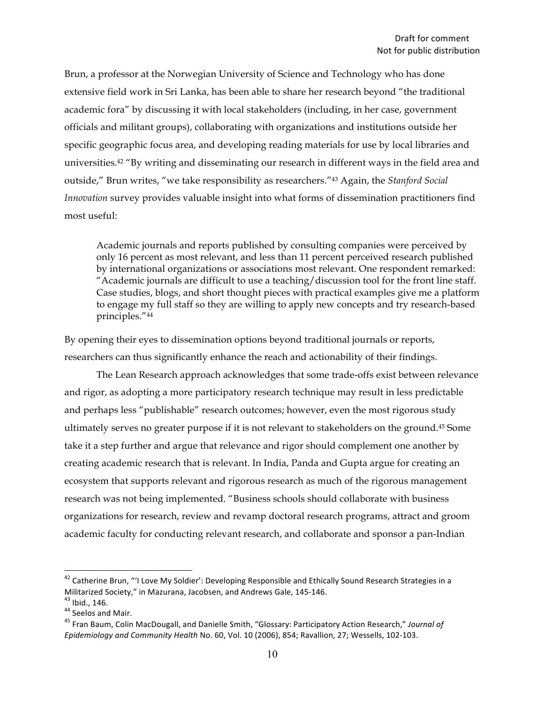Brun, a professor at the Norwegian University of Science and Technology who has done extensive field work in Sri Lanka, has been able to share her research beyond "the traditional academic fora" by discussing it with local stakeholders (including, in her case, government officials and militant groups), collaborating with organizations and institutions outside her specific geographic focus area, and developing reading materials for use by local libraries and universities.42 "By writing and disseminating our research in different ways in the field area and outside," Brun writes, "we take responsibility as researchers."43 Again, the *Stanford Social Innovation* survey provides valuable insight into what forms of dissemination practitioners find most useful:

Academic journals and reports published by consulting companies were perceived by only 16 percent as most relevant, and less than 11 percent perceived research published by international organizations or associations most relevant. One respondent remarked: "Academic journals are difficult to use a teaching/discussion tool for the front line staff. Case studies, blogs, and short thought pieces with practical examples give me a platform to engage my full staff so they are willing to apply new concepts and try research-based principles."44

By opening their eyes to dissemination options beyond traditional journals or reports, researchers can thus significantly enhance the reach and actionability of their findings.

The Lean Research approach acknowledges that some trade-offs exist between relevance and rigor, as adopting a more participatory research technique may result in less predictable and perhaps less "publishable" research outcomes; however, even the most rigorous study ultimately serves no greater purpose if it is not relevant to stakeholders on the ground.45 Some take it a step further and argue that relevance and rigor should complement one another by creating academic research that is relevant. In India, Panda and Gupta argue for creating an ecosystem that supports relevant and rigorous research as much of the rigorous management research was not being implemented. "Business schools should collaborate with business organizations for research, review and revamp doctoral research programs, attract and groom academic faculty for conducting relevant research, and collaborate and sponsor a pan-Indian

<sup>&</sup>lt;sup>42</sup> Catherine Brun, "'I Love My Soldier': Developing Responsible and Ethically Sound Research Strategies in a Militarized Society," in Mazurana, Jacobsen, and Andrews Gale, 145-146.<br><sup>43</sup> Ibid., 146.<br><sup>44</sup> Seelos and Mair.<br><sup>45</sup> Fran Baum, Colin MacDougall, and Danielle Smith, "Glossary: Participatory Action Research," *Journal of* 

Epidemiology and Community Health No. 60, Vol. 10 (2006), 854; Ravallion, 27; Wessells, 102-103.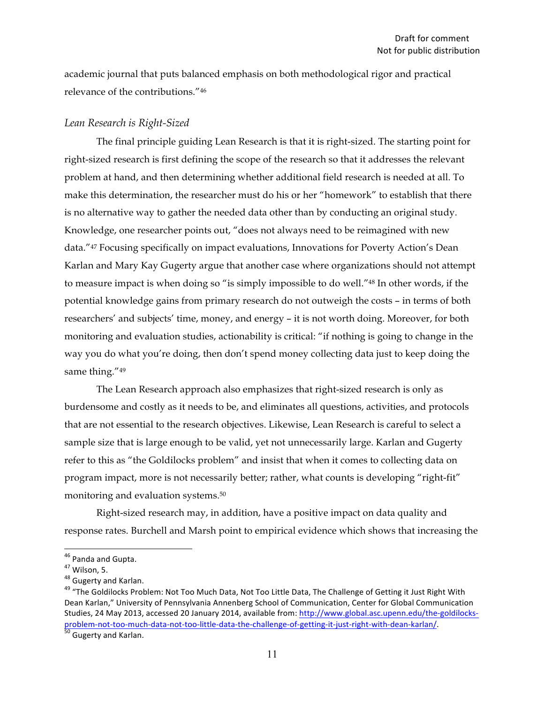academic journal that puts balanced emphasis on both methodological rigor and practical relevance of the contributions."46

#### *Lean Research is Right-Sized*

The final principle guiding Lean Research is that it is right-sized. The starting point for right-sized research is first defining the scope of the research so that it addresses the relevant problem at hand, and then determining whether additional field research is needed at all. To make this determination, the researcher must do his or her "homework" to establish that there is no alternative way to gather the needed data other than by conducting an original study. Knowledge, one researcher points out, "does not always need to be reimagined with new data."47 Focusing specifically on impact evaluations, Innovations for Poverty Action's Dean Karlan and Mary Kay Gugerty argue that another case where organizations should not attempt to measure impact is when doing so "is simply impossible to do well."48 In other words, if the potential knowledge gains from primary research do not outweigh the costs – in terms of both researchers' and subjects' time, money, and energy – it is not worth doing. Moreover, for both monitoring and evaluation studies, actionability is critical: "if nothing is going to change in the way you do what you're doing, then don't spend money collecting data just to keep doing the same thing."<sup>49</sup>

The Lean Research approach also emphasizes that right-sized research is only as burdensome and costly as it needs to be, and eliminates all questions, activities, and protocols that are not essential to the research objectives. Likewise, Lean Research is careful to select a sample size that is large enough to be valid, yet not unnecessarily large. Karlan and Gugerty refer to this as "the Goldilocks problem" and insist that when it comes to collecting data on program impact, more is not necessarily better; rather, what counts is developing "right-fit" monitoring and evaluation systems.50

Right-sized research may, in addition, have a positive impact on data quality and response rates. Burchell and Marsh point to empirical evidence which shows that increasing the

<sup>&</sup>lt;sup>46</sup> Panda and Gupta.<br><sup>47</sup> Wilson, 5.<br><sup>48</sup> Gugerty and Karlan.<br><sup>49</sup> "The Goldilocks Problem: Not Too Much Data, Not Too Little Data, The Challenge of Getting it Just Right With Dean Karlan," University of Pennsylvania Annenberg School of Communication, Center for Global Communication Studies, 24 May 2013, accessed 20 January 2014, available from: http://www.global.asc.upenn.edu/the-goldilocksproblem-not-too-much-data-not-too-little-data-the-challenge-of-getting-it-just-right-with-dean-karlan/.<br>
<sup>50</sup> Gugerty and Karlan.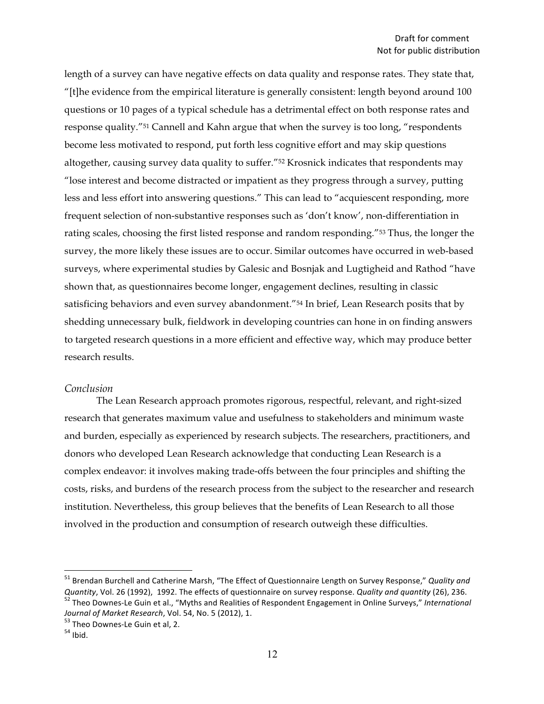length of a survey can have negative effects on data quality and response rates. They state that, "[t]he evidence from the empirical literature is generally consistent: length beyond around 100 questions or 10 pages of a typical schedule has a detrimental effect on both response rates and response quality."51 Cannell and Kahn argue that when the survey is too long, "respondents become less motivated to respond, put forth less cognitive effort and may skip questions altogether, causing survey data quality to suffer."52 Krosnick indicates that respondents may "lose interest and become distracted or impatient as they progress through a survey, putting less and less effort into answering questions." This can lead to "acquiescent responding, more frequent selection of non-substantive responses such as 'don't know', non-differentiation in rating scales, choosing the first listed response and random responding."53 Thus, the longer the survey, the more likely these issues are to occur. Similar outcomes have occurred in web-based surveys, where experimental studies by Galesic and Bosnjak and Lugtigheid and Rathod "have shown that, as questionnaires become longer, engagement declines, resulting in classic satisficing behaviors and even survey abandonment."<sup>54</sup> In brief, Lean Research posits that by shedding unnecessary bulk, fieldwork in developing countries can hone in on finding answers to targeted research questions in a more efficient and effective way, which may produce better research results.

#### *Conclusion*

The Lean Research approach promotes rigorous, respectful, relevant, and right-sized research that generates maximum value and usefulness to stakeholders and minimum waste and burden, especially as experienced by research subjects. The researchers, practitioners, and donors who developed Lean Research acknowledge that conducting Lean Research is a complex endeavor: it involves making trade-offs between the four principles and shifting the costs, risks, and burdens of the research process from the subject to the researcher and research institution. Nevertheless, this group believes that the benefits of Lean Research to all those involved in the production and consumption of research outweigh these difficulties.

<sup>&</sup>lt;sup>51</sup> Brendan Burchell and Catherine Marsh, "The Effect of Questionnaire Length on Survey Response," *Quality and* Quantity, Vol. 26 (1992), 1992. The effects of questionnaire on survey response. Quality and quantity (26), 236.<br><sup>52</sup> Theo Downes-Le Guin et al., "Myths and Realities of Respondent Engagement in Online Surveys," Internatio *Journal of Market Research*, Vol. 54, No. 5 (2012), 1.<br><sup>53</sup> Theo Downes-Le Guin et al, 2.<br><sup>54</sup> Ibid.